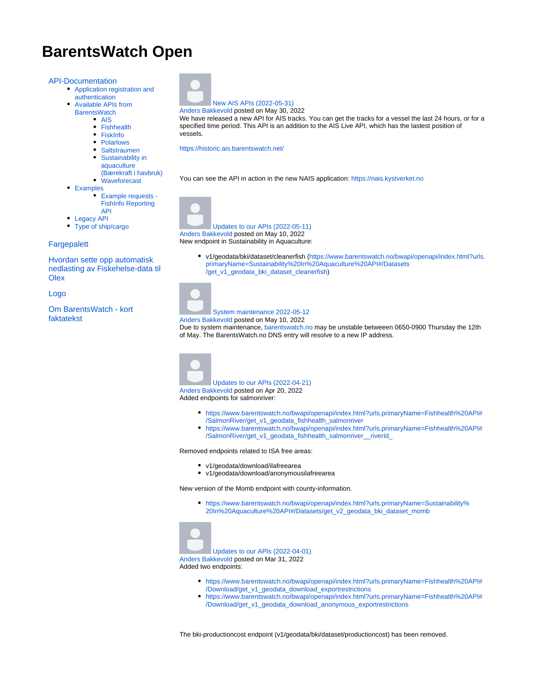# **BarentsWatch Open**

#### [API-Documentation](https://wiki.barentswatch.net/display/BO/API-Documentation)

- [Application registration and](https://wiki.barentswatch.net/display/BO/Application+registration+and+authentication)  [authentication](https://wiki.barentswatch.net/display/BO/Application+registration+and+authentication)
	- [Available APIs from](https://wiki.barentswatch.net/display/BO/Available+APIs+from+BarentsWatch)  **[BarentsWatch](https://wiki.barentswatch.net/display/BO/Available+APIs+from+BarentsWatch)** 
		- [AIS](https://wiki.barentswatch.net/display/BO/AIS)
		-
		- [Fishhealth](https://wiki.barentswatch.net/display/BO/Fishhealth) • [FiskInfo](https://wiki.barentswatch.net/display/BO/FiskInfo)
		-
		- [Polarlows](https://wiki.barentswatch.net/display/BO/Polarlows)
		- [Saltstraumen](https://wiki.barentswatch.net/display/BO/Saltstraumen)
		- Sustainability in [aquaculture](https://wiki.barentswatch.net/pages/viewpage.action?pageId=328957)
		- [\(Bærekraft i havbruk\)](https://wiki.barentswatch.net/pages/viewpage.action?pageId=328957) [Waveforecast](https://wiki.barentswatch.net/display/BO/Waveforecast)
- [Examples](https://wiki.barentswatch.net/display/BO/Examples)
	- [Example requests](https://wiki.barentswatch.net/display/BO/Example+requests+-+FishInfo+Reporting+API)
	- [FishInfo Reporting](https://wiki.barentswatch.net/display/BO/Example+requests+-+FishInfo+Reporting+API)
	- [API](https://wiki.barentswatch.net/display/BO/Example+requests+-+FishInfo+Reporting+API)
- [Legacy API](https://wiki.barentswatch.net/display/BO/Legacy+API)
	- [Type of ship/cargo](https://wiki.barentswatch.net/pages/viewpage.action?pageId=3670811)

#### **[Fargepalett](https://wiki.barentswatch.net/display/BO/Fargepalett)**

[Hvordan sette opp automatisk](https://wiki.barentswatch.net/display/BO/Hvordan+sette+opp+automatisk+nedlasting+av+Fiskehelse-data+til+Olex)  [nedlasting av Fiskehelse-data til](https://wiki.barentswatch.net/display/BO/Hvordan+sette+opp+automatisk+nedlasting+av+Fiskehelse-data+til+Olex)  **[Olex](https://wiki.barentswatch.net/display/BO/Hvordan+sette+opp+automatisk+nedlasting+av+Fiskehelse-data+til+Olex)** 

[Logo](https://wiki.barentswatch.net/display/BO/Logo)

[Om BarentsWatch - kort](https://wiki.barentswatch.net/display/BO/Om+BarentsWatch+-+kort+faktatekst)  [faktatekst](https://wiki.barentswatch.net/display/BO/Om+BarentsWatch+-+kort+faktatekst)



[New AIS APIs \(2022-05-31\)](https://wiki.barentswatch.net/pages/viewpage.action?pageId=40437913) Anders Bakkevold posted on May 30, 2022

We have released a new API for AIS tracks. You can get the tracks for a vessel the last 24 hours, or for a specified time period. This API is an addition to the AIS Live API, which has the lastest position of vessels.

[https://historic.ais.barentswatch.net/](https://historic.ais.barentswatch.net/index.html#/)

You can see the API in action in the new NAIS application: <https://nais.kystverket.no>





Anders Bakkevold posted on May 10, 2022 New endpoint in Sustainability in Aquaculture:

> v1/geodata/bki/dataset/cleanerfish ([https://www.barentswatch.no/bwapi/openapi/index.html?urls.](https://www.barentswatch.no/bwapi/openapi/index.html?urls.primaryName=Sustainability%20In%20Aquaculture%20API#/Datasets/get_v1_geodata_bki_dataset_cleanerfish) [primaryName=Sustainability%20In%20Aquaculture%20API#/Datasets](https://www.barentswatch.no/bwapi/openapi/index.html?urls.primaryName=Sustainability%20In%20Aquaculture%20API#/Datasets/get_v1_geodata_bki_dataset_cleanerfish) [/get\\_v1\\_geodata\\_bki\\_dataset\\_cleanerfish\)](https://www.barentswatch.no/bwapi/openapi/index.html?urls.primaryName=Sustainability%20In%20Aquaculture%20API#/Datasets/get_v1_geodata_bki_dataset_cleanerfish)

#### [System maintenance 2022-05-12](https://wiki.barentswatch.net/display/BO/2022/05/10/System+maintenance+2022-05-12)

Anders Bakkevold posted on May 10, 2022

Due to system maintenance, [barentswatch.no](http://barentswatch.no) may be unstable betweeen 0650-0900 Thursday the 12th of May. The BarentsWatch.no DNS entry will resolve to a new IP address.



- [https://www.barentswatch.no/bwapi/openapi/index.html?urls.primaryName=Fishhealth%20API#](https://www.barentswatch.no/bwapi/openapi/index.html?urls.primaryName=Fishhealth%20API#/SalmonRiver/get_v1_geodata_fishhealth_salmonriver) [/SalmonRiver/get\\_v1\\_geodata\\_fishhealth\\_salmonriver](https://www.barentswatch.no/bwapi/openapi/index.html?urls.primaryName=Fishhealth%20API#/SalmonRiver/get_v1_geodata_fishhealth_salmonriver)
- [https://www.barentswatch.no/bwapi/openapi/index.html?urls.primaryName=Fishhealth%20API#](https://www.barentswatch.no/bwapi/openapi/index.html?urls.primaryName=Fishhealth%20API#/SalmonRiver/get_v1_geodata_fishhealth_salmonriver__riverId_) [/SalmonRiver/get\\_v1\\_geodata\\_fishhealth\\_salmonriver\\_\\_riverId\\_](https://www.barentswatch.no/bwapi/openapi/index.html?urls.primaryName=Fishhealth%20API#/SalmonRiver/get_v1_geodata_fishhealth_salmonriver__riverId_)

Removed endpoints related to ISA free areas:

- v1/geodata/download/ilafreearea
- v1/geodata/download/anonymousilafreearea

New version of the Momb endpoint with county-information.

[https://www.barentswatch.no/bwapi/openapi/index.html?urls.primaryName=Sustainability%](https://www.barentswatch.no/bwapi/openapi/index.html?urls.primaryName=Sustainability%20In%20Aquaculture%20API#/Datasets/get_v2_geodata_bki_dataset_momb) [20In%20Aquaculture%20API#/Datasets/get\\_v2\\_geodata\\_bki\\_dataset\\_momb](https://www.barentswatch.no/bwapi/openapi/index.html?urls.primaryName=Sustainability%20In%20Aquaculture%20API#/Datasets/get_v2_geodata_bki_dataset_momb)

[Updates to our APIs \(2022-04-01\)](https://wiki.barentswatch.net/pages/viewpage.action?pageId=40436573) Anders Bakkevold posted on Mar 31, 2022 Added two endpoints:

- [https://www.barentswatch.no/bwapi/openapi/index.html?urls.primaryName=Fishhealth%20API#](https://www.barentswatch.no/bwapi/openapi/index.html?urls.primaryName=Fishhealth%20API#/Download/get_v1_geodata_download_exportrestrictions) [/Download/get\\_v1\\_geodata\\_download\\_exportrestrictions](https://www.barentswatch.no/bwapi/openapi/index.html?urls.primaryName=Fishhealth%20API#/Download/get_v1_geodata_download_exportrestrictions)
- [https://www.barentswatch.no/bwapi/openapi/index.html?urls.primaryName=Fishhealth%20API#](https://www.barentswatch.no/bwapi/openapi/index.html?urls.primaryName=Fishhealth%20API#/Download/get_v1_geodata_download_anonymous_exportrestrictions) [/Download/get\\_v1\\_geodata\\_download\\_anonymous\\_exportrestrictions](https://www.barentswatch.no/bwapi/openapi/index.html?urls.primaryName=Fishhealth%20API#/Download/get_v1_geodata_download_anonymous_exportrestrictions)

The bki-productioncost endpoint (v1/geodata/bki/dataset/productioncost) has been removed.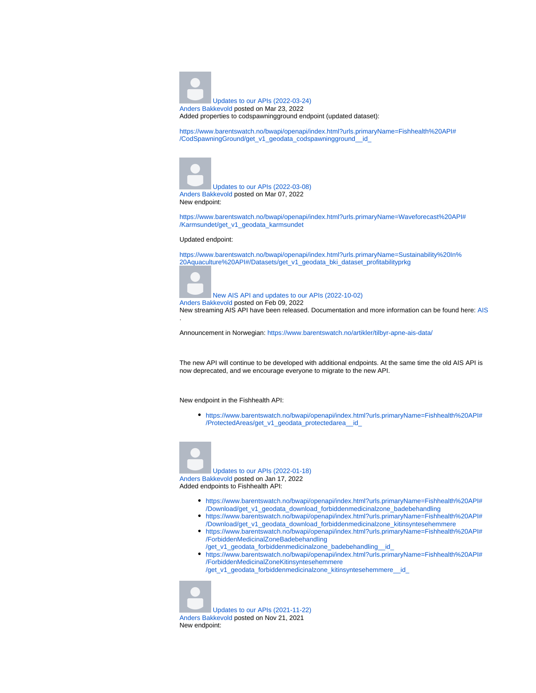

Added properties to codspawningground endpoint (updated dataset):

[https://www.barentswatch.no/bwapi/openapi/index.html?urls.primaryName=Fishhealth%20API#](https://www.barentswatch.no/bwapi/openapi/index.html?urls.primaryName=Fishhealth%20API#/CodSpawningGround/get_v1_geodata_codspawningground__id_) [/CodSpawningGround/get\\_v1\\_geodata\\_codspawningground\\_\\_id\\_](https://www.barentswatch.no/bwapi/openapi/index.html?urls.primaryName=Fishhealth%20API#/CodSpawningGround/get_v1_geodata_codspawningground__id_)



[Updates to our APIs \(2022-03-08\)](https://wiki.barentswatch.net/pages/viewpage.action?pageId=40435855) Anders Bakkevold posted on Mar 07, 2022 New endpoint:

[https://www.barentswatch.no/bwapi/openapi/index.html?urls.primaryName=Waveforecast%20API#](https://www.barentswatch.no/bwapi/openapi/index.html?urls.primaryName=Waveforecast%20API#/Karmsundet/get_v1_geodata_karmsundet) [/Karmsundet/get\\_v1\\_geodata\\_karmsundet](https://www.barentswatch.no/bwapi/openapi/index.html?urls.primaryName=Waveforecast%20API#/Karmsundet/get_v1_geodata_karmsundet)

#### Updated endpoint:

[https://www.barentswatch.no/bwapi/openapi/index.html?urls.primaryName=Sustainability%20In%](https://www.barentswatch.no/bwapi/openapi/index.html?urls.primaryName=Sustainability%20In%20Aquaculture%20API#/Datasets/get_v1_geodata_bki_dataset_profitabilityprkg) [20Aquaculture%20API#/Datasets/get\\_v1\\_geodata\\_bki\\_dataset\\_profitabilityprkg](https://www.barentswatch.no/bwapi/openapi/index.html?urls.primaryName=Sustainability%20In%20Aquaculture%20API#/Datasets/get_v1_geodata_bki_dataset_profitabilityprkg)



[New AIS API and updates to our APIs \(2022-10-02\)](https://wiki.barentswatch.net/pages/viewpage.action?pageId=37847155) Anders Bakkevold posted on Feb 09, 2022

New streaming AIS API have been released. Documentation and more information can be found here: [AIS](https://wiki.barentswatch.net/display/BO/AIS) .

Announcement in Norwegian: <https://www.barentswatch.no/artikler/tilbyr-apne-ais-data/>

The new API will continue to be developed with additional endpoints. At the same time the old AIS API is now deprecated, and we encourage everyone to migrate to the new API.

New endpoint in the Fishhealth API:

[https://www.barentswatch.no/bwapi/openapi/index.html?urls.primaryName=Fishhealth%20API#](https://www.barentswatch.no/bwapi/openapi/index.html?urls.primaryName=Fishhealth%20API#/ProtectedAreas/get_v1_geodata_protectedarea__id_) [/ProtectedAreas/get\\_v1\\_geodata\\_protectedarea\\_\\_id\\_](https://www.barentswatch.no/bwapi/openapi/index.html?urls.primaryName=Fishhealth%20API#/ProtectedAreas/get_v1_geodata_protectedarea__id_)



[Updates to our APIs \(2022-01-18\)](https://wiki.barentswatch.net/pages/viewpage.action?pageId=34079062) Anders Bakkevold posted on Jan 17, 2022 Added endpoints to Fishhealth API:

- [https://www.barentswatch.no/bwapi/openapi/index.html?urls.primaryName=Fishhealth%20API#](https://www.barentswatch.no/bwapi/openapi/index.html?urls.primaryName=Fishhealth%20API#/Download/get_v1_geodata_download_forbiddenmedicinalzone_badebehandling) [/Download/get\\_v1\\_geodata\\_download\\_forbiddenmedicinalzone\\_badebehandling](https://www.barentswatch.no/bwapi/openapi/index.html?urls.primaryName=Fishhealth%20API#/Download/get_v1_geodata_download_forbiddenmedicinalzone_badebehandling)
- [https://www.barentswatch.no/bwapi/openapi/index.html?urls.primaryName=Fishhealth%20API#](https://www.barentswatch.no/bwapi/openapi/index.html?urls.primaryName=Fishhealth%20API#/Download/get_v1_geodata_download_forbiddenmedicinalzone_kitinsyntesehemmere) [/Download/get\\_v1\\_geodata\\_download\\_forbiddenmedicinalzone\\_kitinsyntesehemmere](https://www.barentswatch.no/bwapi/openapi/index.html?urls.primaryName=Fishhealth%20API#/Download/get_v1_geodata_download_forbiddenmedicinalzone_kitinsyntesehemmere)
- [https://www.barentswatch.no/bwapi/openapi/index.html?urls.primaryName=Fishhealth%20API#](https://www.barentswatch.no/bwapi/openapi/index.html?urls.primaryName=Fishhealth%20API#/ForbiddenMedicinalZoneBadebehandling/get_v1_geodata_forbiddenmedicinalzone_badebehandling__id_) [/ForbiddenMedicinalZoneBadebehandling](https://www.barentswatch.no/bwapi/openapi/index.html?urls.primaryName=Fishhealth%20API#/ForbiddenMedicinalZoneBadebehandling/get_v1_geodata_forbiddenmedicinalzone_badebehandling__id_)
- [/get\\_v1\\_geodata\\_forbiddenmedicinalzone\\_badebehandling\\_\\_id\\_](https://www.barentswatch.no/bwapi/openapi/index.html?urls.primaryName=Fishhealth%20API#/ForbiddenMedicinalZoneBadebehandling/get_v1_geodata_forbiddenmedicinalzone_badebehandling__id_) [https://www.barentswatch.no/bwapi/openapi/index.html?urls.primaryName=Fishhealth%20API#](https://www.barentswatch.no/bwapi/openapi/index.html?urls.primaryName=Fishhealth%20API#/ForbiddenMedicinalZoneKitinsyntesehemmere/get_v1_geodata_forbiddenmedicinalzone_kitinsyntesehemmere__id_) [/ForbiddenMedicinalZoneKitinsyntesehemmere](https://www.barentswatch.no/bwapi/openapi/index.html?urls.primaryName=Fishhealth%20API#/ForbiddenMedicinalZoneKitinsyntesehemmere/get_v1_geodata_forbiddenmedicinalzone_kitinsyntesehemmere__id_) [/get\\_v1\\_geodata\\_forbiddenmedicinalzone\\_kitinsyntesehemmere\\_\\_id\\_](https://www.barentswatch.no/bwapi/openapi/index.html?urls.primaryName=Fishhealth%20API#/ForbiddenMedicinalZoneKitinsyntesehemmere/get_v1_geodata_forbiddenmedicinalzone_kitinsyntesehemmere__id_)



Anders Bakkevold posted on Nov 21, 2021 New endpoint: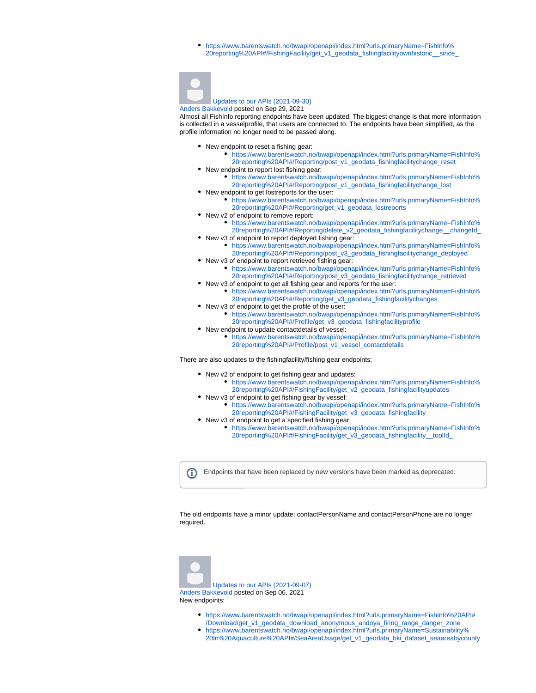[https://www.barentswatch.no/bwapi/openapi/index.html?urls.primaryName=FishInfo%](https://www.barentswatch.no/bwapi/openapi/index.html?urls.primaryName=FishInfo%20reporting%20API#/FishingFacility/get_v1_geodata_fishingfacilityownhistoric__since_) [20reporting%20API#/FishingFacility/get\\_v1\\_geodata\\_fishingfacilityownhistoric\\_\\_since\\_](https://www.barentswatch.no/bwapi/openapi/index.html?urls.primaryName=FishInfo%20reporting%20API#/FishingFacility/get_v1_geodata_fishingfacilityownhistoric__since_)



#### [Updates to our APIs \(2021-09-30\)](https://wiki.barentswatch.net/pages/viewpage.action?pageId=23560583) Anders Bakkevold posted on Sep 29, 2021

Almost all FishInfo reporting endpoints have been updated. The biggest change is that more information is collected in a vesselprofile, that users are connected to. The endpoints have been simplified, as the profile information no longer need to be passed along.

- New endpoint to reset a fishing gear:
	- [https://www.barentswatch.no/bwapi/openapi/index.html?urls.primaryName=FishInfo%](https://www.barentswatch.no/bwapi/openapi/index.html?urls.primaryName=FishInfo%20reporting%20API#/Reporting/post_v1_geodata_fishingfacilitychange_reset) [20reporting%20API#/Reporting/post\\_v1\\_geodata\\_fishingfacilitychange\\_reset](https://www.barentswatch.no/bwapi/openapi/index.html?urls.primaryName=FishInfo%20reporting%20API#/Reporting/post_v1_geodata_fishingfacilitychange_reset)
- New endpoint to report lost fishing gear: [https://www.barentswatch.no/bwapi/openapi/index.html?urls.primaryName=FishInfo%](https://www.barentswatch.no/bwapi/openapi/index.html?urls.primaryName=FishInfo%20reporting%20API#/Reporting/post_v1_geodata_fishingfacilitychange_lost) [20reporting%20API#/Reporting/post\\_v1\\_geodata\\_fishingfacilitychange\\_lost](https://www.barentswatch.no/bwapi/openapi/index.html?urls.primaryName=FishInfo%20reporting%20API#/Reporting/post_v1_geodata_fishingfacilitychange_lost)
- New endpoint to get lostreports for the user:
	- [https://www.barentswatch.no/bwapi/openapi/index.html?urls.primaryName=FishInfo%](https://www.barentswatch.no/bwapi/openapi/index.html?urls.primaryName=FishInfo%20reporting%20API#/Reporting/get_v1_geodata_lostreports) [20reporting%20API#/Reporting/get\\_v1\\_geodata\\_lostreports](https://www.barentswatch.no/bwapi/openapi/index.html?urls.primaryName=FishInfo%20reporting%20API#/Reporting/get_v1_geodata_lostreports)
- New v2 of endpoint to remove report:
	- [https://www.barentswatch.no/bwapi/openapi/index.html?urls.primaryName=FishInfo%](https://www.barentswatch.no/bwapi/openapi/index.html?urls.primaryName=FishInfo%20reporting%20API#/Reporting/delete_v2_geodata_fishingfacilitychange__changeId_) [20reporting%20API#/Reporting/delete\\_v2\\_geodata\\_fishingfacilitychange\\_\\_changeId\\_](https://www.barentswatch.no/bwapi/openapi/index.html?urls.primaryName=FishInfo%20reporting%20API#/Reporting/delete_v2_geodata_fishingfacilitychange__changeId_)
- New v3 of endpoint to report deployed fishing gear: [https://www.barentswatch.no/bwapi/openapi/index.html?urls.primaryName=FishInfo%](https://www.barentswatch.no/bwapi/openapi/index.html?urls.primaryName=FishInfo%20reporting%20API#/Reporting/post_v3_geodata_fishingfacilitychange_deployed) [20reporting%20API#/Reporting/post\\_v3\\_geodata\\_fishingfacilitychange\\_deployed](https://www.barentswatch.no/bwapi/openapi/index.html?urls.primaryName=FishInfo%20reporting%20API#/Reporting/post_v3_geodata_fishingfacilitychange_deployed)
- New v3 of endpoint to report retrieved fishing gear:
	- [https://www.barentswatch.no/bwapi/openapi/index.html?urls.primaryName=FishInfo%](https://www.barentswatch.no/bwapi/openapi/index.html?urls.primaryName=FishInfo%20reporting%20API#/Reporting/post_v3_geodata_fishingfacilitychange_retrieved) [20reporting%20API#/Reporting/post\\_v3\\_geodata\\_fishingfacilitychange\\_retrieved](https://www.barentswatch.no/bwapi/openapi/index.html?urls.primaryName=FishInfo%20reporting%20API#/Reporting/post_v3_geodata_fishingfacilitychange_retrieved)
- New v3 of endpoint to get all fishing gear and reports for the user:
	- [https://www.barentswatch.no/bwapi/openapi/index.html?urls.primaryName=FishInfo%](https://www.barentswatch.no/bwapi/openapi/index.html?urls.primaryName=FishInfo%20reporting%20API#/Reporting/get_v3_geodata_fishingfacilitychanges) [20reporting%20API#/Reporting/get\\_v3\\_geodata\\_fishingfacilitychanges](https://www.barentswatch.no/bwapi/openapi/index.html?urls.primaryName=FishInfo%20reporting%20API#/Reporting/get_v3_geodata_fishingfacilitychanges)
- New v3 of endpoint to get the profile of the user: [https://www.barentswatch.no/bwapi/openapi/index.html?urls.primaryName=FishInfo%](https://www.barentswatch.no/bwapi/openapi/index.html?urls.primaryName=FishInfo%20reporting%20API#/Profile/get_v3_geodata_fishingfacilityprofile) [20reporting%20API#/Profile/get\\_v3\\_geodata\\_fishingfacilityprofile](https://www.barentswatch.no/bwapi/openapi/index.html?urls.primaryName=FishInfo%20reporting%20API#/Profile/get_v3_geodata_fishingfacilityprofile)
- New endpoint to update contactdetails of vessel:
	- [https://www.barentswatch.no/bwapi/openapi/index.html?urls.primaryName=FishInfo%](https://www.barentswatch.no/bwapi/openapi/index.html?urls.primaryName=FishInfo%20reporting%20API#/Profile/post_v1_vessel_contactdetails) [20reporting%20API#/Profile/post\\_v1\\_vessel\\_contactdetails](https://www.barentswatch.no/bwapi/openapi/index.html?urls.primaryName=FishInfo%20reporting%20API#/Profile/post_v1_vessel_contactdetails)

There are also updates to the fishingfacility/fishing gear endpoints:

- New v2 of endpoint to get fishing gear and updates:
	- [https://www.barentswatch.no/bwapi/openapi/index.html?urls.primaryName=FishInfo%](https://www.barentswatch.no/bwapi/openapi/index.html?urls.primaryName=FishInfo%20reporting%20API#/FishingFacility/get_v2_geodata_fishingfacilityupdates) [20reporting%20API#/FishingFacility/get\\_v2\\_geodata\\_fishingfacilityupdates](https://www.barentswatch.no/bwapi/openapi/index.html?urls.primaryName=FishInfo%20reporting%20API#/FishingFacility/get_v2_geodata_fishingfacilityupdates)
- New v3 of endpoint to get fishing gear by vessel:
	- [https://www.barentswatch.no/bwapi/openapi/index.html?urls.primaryName=FishInfo%](https://www.barentswatch.no/bwapi/openapi/index.html?urls.primaryName=FishInfo%20reporting%20API#/FishingFacility/get_v3_geodata_fishingfacility) [20reporting%20API#/FishingFacility/get\\_v3\\_geodata\\_fishingfacility](https://www.barentswatch.no/bwapi/openapi/index.html?urls.primaryName=FishInfo%20reporting%20API#/FishingFacility/get_v3_geodata_fishingfacility)
- New v3 of endpoint to get a specified fishing gear:
	- [https://www.barentswatch.no/bwapi/openapi/index.html?urls.primaryName=FishInfo%](https://www.barentswatch.no/bwapi/openapi/index.html?urls.primaryName=FishInfo%20reporting%20API#/FishingFacility/get_v3_geodata_fishingfacility__toolId_) [20reporting%20API#/FishingFacility/get\\_v3\\_geodata\\_fishingfacility\\_\\_toolId\\_](https://www.barentswatch.no/bwapi/openapi/index.html?urls.primaryName=FishInfo%20reporting%20API#/FishingFacility/get_v3_geodata_fishingfacility__toolId_)

Endpoints that have been replaced by new versions have been marked as deprecated.O)

The old endpoints have a minor update: contactPersonName and contactPersonPhone are no longer required.



[Updates to our APIs \(2021-09-07\)](https://wiki.barentswatch.net/pages/viewpage.action?pageId=23560332) Anders Bakkevold posted on Sep 06, 2021 New endpoints:

- [https://www.barentswatch.no/bwapi/openapi/index.html?urls.primaryName=FishInfo%20API#](https://www.barentswatch.no/bwapi/openapi/index.html?urls.primaryName=FishInfo%20API#/Download/get_v1_geodata_download_anonymous_andoya_firing_range_danger_zone) [/Download/get\\_v1\\_geodata\\_download\\_anonymous\\_andoya\\_firing\\_range\\_danger\\_zone](https://www.barentswatch.no/bwapi/openapi/index.html?urls.primaryName=FishInfo%20API#/Download/get_v1_geodata_download_anonymous_andoya_firing_range_danger_zone)
- [https://www.barentswatch.no/bwapi/openapi/index.html?urls.primaryName=Sustainability%](https://www.barentswatch.no/bwapi/openapi/index.html?urls.primaryName=Sustainability%20In%20Aquaculture%20API#/SeaAreaUsage/get_v1_geodata_bki_dataset_seaareabycounty) [20In%20Aquaculture%20API#/SeaAreaUsage/get\\_v1\\_geodata\\_bki\\_dataset\\_seaareabycounty](https://www.barentswatch.no/bwapi/openapi/index.html?urls.primaryName=Sustainability%20In%20Aquaculture%20API#/SeaAreaUsage/get_v1_geodata_bki_dataset_seaareabycounty)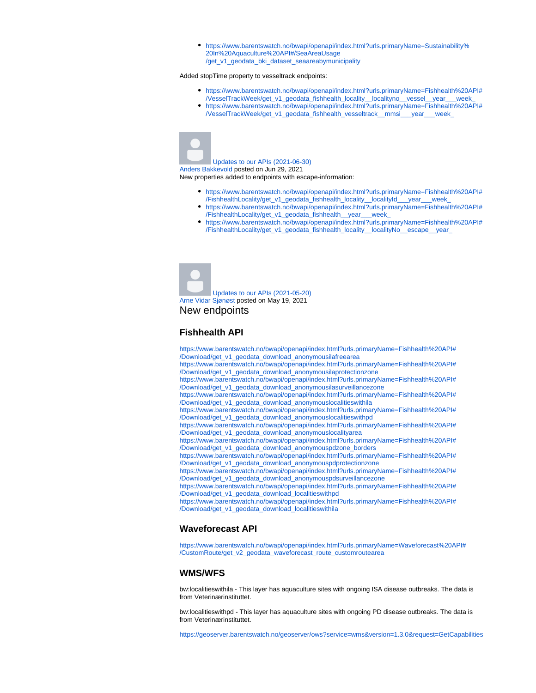[https://www.barentswatch.no/bwapi/openapi/index.html?urls.primaryName=Sustainability%](https://www.barentswatch.no/bwapi/openapi/index.html?urls.primaryName=Sustainability%20In%20Aquaculture%20API#/SeaAreaUsage/get_v1_geodata_bki_dataset_seaareabymunicipality) [20In%20Aquaculture%20API#/SeaAreaUsage](https://www.barentswatch.no/bwapi/openapi/index.html?urls.primaryName=Sustainability%20In%20Aquaculture%20API#/SeaAreaUsage/get_v1_geodata_bki_dataset_seaareabymunicipality) [/get\\_v1\\_geodata\\_bki\\_dataset\\_seaareabymunicipality](https://www.barentswatch.no/bwapi/openapi/index.html?urls.primaryName=Sustainability%20In%20Aquaculture%20API#/SeaAreaUsage/get_v1_geodata_bki_dataset_seaareabymunicipality)

#### Added stopTime property to vesseltrack endpoints:

- [https://www.barentswatch.no/bwapi/openapi/index.html?urls.primaryName=Fishhealth%20API#](https://www.barentswatch.no/bwapi/openapi/index.html?urls.primaryName=Fishhealth%20API#/VesselTrackWeek/get_v1_geodata_fishhealth_locality__localityno__vessel__year___week_) [/VesselTrackWeek/get\\_v1\\_geodata\\_fishhealth\\_locality\\_\\_localityno\\_\\_vessel\\_\\_year\\_\\_\\_week\\_](https://www.barentswatch.no/bwapi/openapi/index.html?urls.primaryName=Fishhealth%20API#/VesselTrackWeek/get_v1_geodata_fishhealth_locality__localityno__vessel__year___week_)
- [https://www.barentswatch.no/bwapi/openapi/index.html?urls.primaryName=Fishhealth%20API#](https://www.barentswatch.no/bwapi/openapi/index.html?urls.primaryName=Fishhealth%20API#/VesselTrackWeek/get_v1_geodata_fishhealth_vesseltrack__mmsi___year___week_) [/VesselTrackWeek/get\\_v1\\_geodata\\_fishhealth\\_vesseltrack\\_\\_mmsi\\_\\_\\_year\\_\\_\\_week\\_](https://www.barentswatch.no/bwapi/openapi/index.html?urls.primaryName=Fishhealth%20API#/VesselTrackWeek/get_v1_geodata_fishhealth_vesseltrack__mmsi___year___week_)



[Updates to our APIs \(2021-06-30\)](https://wiki.barentswatch.net/pages/viewpage.action?pageId=18940341) Anders Bakkevold posted on Jun 29, 2021 New properties added to endpoints with escape-information:

- [https://www.barentswatch.no/bwapi/openapi/index.html?urls.primaryName=Fishhealth%20API#](https://www.barentswatch.no/bwapi/openapi/index.html?urls.primaryName=Fishhealth%20API#/FishhealthLocality/get_v1_geodata_fishhealth_locality__localityId___year___week_) [/FishhealthLocality/get\\_v1\\_geodata\\_fishhealth\\_locality\\_\\_localityId\\_\\_\\_year\\_\\_\\_week\\_](https://www.barentswatch.no/bwapi/openapi/index.html?urls.primaryName=Fishhealth%20API#/FishhealthLocality/get_v1_geodata_fishhealth_locality__localityId___year___week_)
- [https://www.barentswatch.no/bwapi/openapi/index.html?urls.primaryName=Fishhealth%20API#](https://www.barentswatch.no/bwapi/openapi/index.html?urls.primaryName=Fishhealth%20API#/FishhealthLocality/get_v1_geodata_fishhealth__year___week_) [/FishhealthLocality/get\\_v1\\_geodata\\_fishhealth\\_\\_year\\_\\_\\_week\\_](https://www.barentswatch.no/bwapi/openapi/index.html?urls.primaryName=Fishhealth%20API#/FishhealthLocality/get_v1_geodata_fishhealth__year___week_)
- [https://www.barentswatch.no/bwapi/openapi/index.html?urls.primaryName=Fishhealth%20API#](https://www.barentswatch.no/bwapi/openapi/index.html?urls.primaryName=Fishhealth%20API#/FishhealthLocality/get_v1_geodata_fishhealth_locality__localityNo__escape__year_) [/FishhealthLocality/get\\_v1\\_geodata\\_fishhealth\\_locality\\_\\_localityNo\\_\\_escape\\_\\_year\\_](https://www.barentswatch.no/bwapi/openapi/index.html?urls.primaryName=Fishhealth%20API#/FishhealthLocality/get_v1_geodata_fishhealth_locality__localityNo__escape__year_)

[Updates to our APIs \(2021-05-20\)](https://wiki.barentswatch.net/pages/viewpage.action?pageId=17072470) Arne Vidar Sjønøst posted on May 19, 2021 New endpoints

### **Fishhealth API**

[https://www.barentswatch.no/bwapi/openapi/index.html?urls.primaryName=Fishhealth%20API#](https://www.barentswatch.no/bwapi/openapi/index.html?urls.primaryName=Fishhealth%20API#/Download/get_v1_geodata_download_anonymousilafreearea) [/Download/get\\_v1\\_geodata\\_download\\_anonymousilafreearea](https://www.barentswatch.no/bwapi/openapi/index.html?urls.primaryName=Fishhealth%20API#/Download/get_v1_geodata_download_anonymousilafreearea) [https://www.barentswatch.no/bwapi/openapi/index.html?urls.primaryName=Fishhealth%20API#](https://www.barentswatch.no/bwapi/openapi/index.html?urls.primaryName=Fishhealth%20API#/Download/get_v1_geodata_download_anonymousilaprotectionzone) [/Download/get\\_v1\\_geodata\\_download\\_anonymousilaprotectionzone](https://www.barentswatch.no/bwapi/openapi/index.html?urls.primaryName=Fishhealth%20API#/Download/get_v1_geodata_download_anonymousilaprotectionzone) [https://www.barentswatch.no/bwapi/openapi/index.html?urls.primaryName=Fishhealth%20API#](https://www.barentswatch.no/bwapi/openapi/index.html?urls.primaryName=Fishhealth%20API#/Download/get_v1_geodata_download_anonymousilasurveillancezone) [/Download/get\\_v1\\_geodata\\_download\\_anonymousilasurveillancezone](https://www.barentswatch.no/bwapi/openapi/index.html?urls.primaryName=Fishhealth%20API#/Download/get_v1_geodata_download_anonymousilasurveillancezone) [https://www.barentswatch.no/bwapi/openapi/index.html?urls.primaryName=Fishhealth%20API#](https://www.barentswatch.no/bwapi/openapi/index.html?urls.primaryName=Fishhealth%20API#/Download/get_v1_geodata_download_anonymouslocalitieswithila) [/Download/get\\_v1\\_geodata\\_download\\_anonymouslocalitieswithila](https://www.barentswatch.no/bwapi/openapi/index.html?urls.primaryName=Fishhealth%20API#/Download/get_v1_geodata_download_anonymouslocalitieswithila) [https://www.barentswatch.no/bwapi/openapi/index.html?urls.primaryName=Fishhealth%20API#](https://www.barentswatch.no/bwapi/openapi/index.html?urls.primaryName=Fishhealth%20API#/Download/get_v1_geodata_download_anonymouslocalitieswithpd) [/Download/get\\_v1\\_geodata\\_download\\_anonymouslocalitieswithpd](https://www.barentswatch.no/bwapi/openapi/index.html?urls.primaryName=Fishhealth%20API#/Download/get_v1_geodata_download_anonymouslocalitieswithpd) [https://www.barentswatch.no/bwapi/openapi/index.html?urls.primaryName=Fishhealth%20API#](https://www.barentswatch.no/bwapi/openapi/index.html?urls.primaryName=Fishhealth%20API#/Download/get_v1_geodata_download_anonymouslocalityarea) [/Download/get\\_v1\\_geodata\\_download\\_anonymouslocalityarea](https://www.barentswatch.no/bwapi/openapi/index.html?urls.primaryName=Fishhealth%20API#/Download/get_v1_geodata_download_anonymouslocalityarea) [https://www.barentswatch.no/bwapi/openapi/index.html?urls.primaryName=Fishhealth%20API#](https://www.barentswatch.no/bwapi/openapi/index.html?urls.primaryName=Fishhealth%20API#/Download/get_v1_geodata_download_anonymouspdzone_borders) [/Download/get\\_v1\\_geodata\\_download\\_anonymouspdzone\\_borders](https://www.barentswatch.no/bwapi/openapi/index.html?urls.primaryName=Fishhealth%20API#/Download/get_v1_geodata_download_anonymouspdzone_borders) [https://www.barentswatch.no/bwapi/openapi/index.html?urls.primaryName=Fishhealth%20API#](https://www.barentswatch.no/bwapi/openapi/index.html?urls.primaryName=Fishhealth%20API#/Download/get_v1_geodata_download_anonymouspdprotectionzone) [/Download/get\\_v1\\_geodata\\_download\\_anonymouspdprotectionzone](https://www.barentswatch.no/bwapi/openapi/index.html?urls.primaryName=Fishhealth%20API#/Download/get_v1_geodata_download_anonymouspdprotectionzone) [https://www.barentswatch.no/bwapi/openapi/index.html?urls.primaryName=Fishhealth%20API#](https://www.barentswatch.no/bwapi/openapi/index.html?urls.primaryName=Fishhealth%20API#/Download/get_v1_geodata_download_anonymouspdsurveillancezone) [/Download/get\\_v1\\_geodata\\_download\\_anonymouspdsurveillancezone](https://www.barentswatch.no/bwapi/openapi/index.html?urls.primaryName=Fishhealth%20API#/Download/get_v1_geodata_download_anonymouspdsurveillancezone) [https://www.barentswatch.no/bwapi/openapi/index.html?urls.primaryName=Fishhealth%20API#](https://www.barentswatch.no/bwapi/openapi/index.html?urls.primaryName=Fishhealth%20API#/Download/get_v1_geodata_download_localitieswithpd) [/Download/get\\_v1\\_geodata\\_download\\_localitieswithpd](https://www.barentswatch.no/bwapi/openapi/index.html?urls.primaryName=Fishhealth%20API#/Download/get_v1_geodata_download_localitieswithpd) [https://www.barentswatch.no/bwapi/openapi/index.html?urls.primaryName=Fishhealth%20API#](https://www.barentswatch.no/bwapi/openapi/index.html?urls.primaryName=Fishhealth%20API#/Download/get_v1_geodata_download_localitieswithila) [/Download/get\\_v1\\_geodata\\_download\\_localitieswithila](https://www.barentswatch.no/bwapi/openapi/index.html?urls.primaryName=Fishhealth%20API#/Download/get_v1_geodata_download_localitieswithila)

## **Waveforecast API**

[https://www.barentswatch.no/bwapi/openapi/index.html?urls.primaryName=Waveforecast%20API#](https://www.barentswatch.no/bwapi/openapi/index.html?urls.primaryName=Waveforecast%20API#/CustomRoute/get_v2_geodata_waveforecast_route_customroutearea) [/CustomRoute/get\\_v2\\_geodata\\_waveforecast\\_route\\_customroutearea](https://www.barentswatch.no/bwapi/openapi/index.html?urls.primaryName=Waveforecast%20API#/CustomRoute/get_v2_geodata_waveforecast_route_customroutearea)

## **WMS/WFS**

bw:localitieswithila - This layer has aquaculture sites with ongoing ISA disease outbreaks. The data is from Veterinærinstituttet.

bw:localitieswithpd - This layer has aquaculture sites with ongoing PD disease outbreaks. The data is from Veterinærinstituttet.

<https://geoserver.barentswatch.no/geoserver/ows?service=wms&version=1.3.0&request=GetCapabilities>